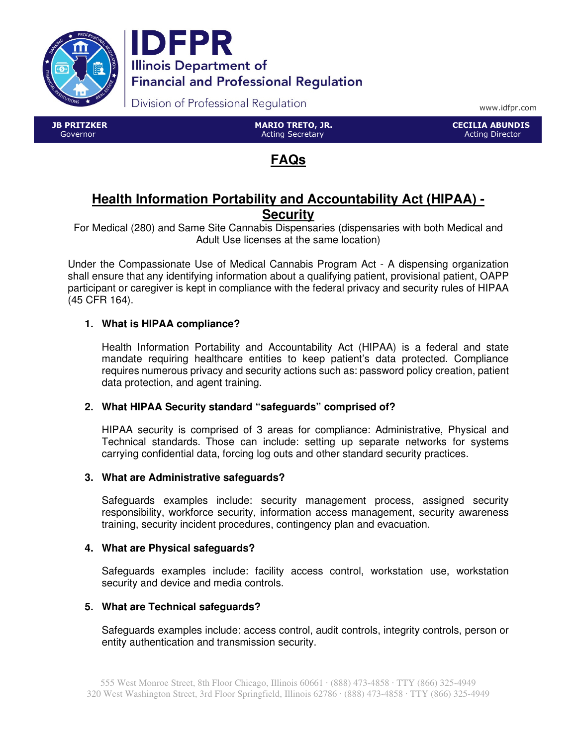



Division of Professional Regulation

www.idfpr.com

 JB PRITZKER Governor

 MARIO TRETO, JR. Acting Secretary

 CECILIA ABUNDIS Acting Director

# **FAQs**

## **Health Information Portability and Accountability Act (HIPAA) - Security**

For Medical (280) and Same Site Cannabis Dispensaries (dispensaries with both Medical and Adult Use licenses at the same location)

Under the Compassionate Use of Medical Cannabis Program Act - A dispensing organization shall ensure that any identifying information about a qualifying patient, provisional patient, OAPP participant or caregiver is kept in compliance with the federal privacy and security rules of HIPAA (45 CFR 164).

### **1. What is HIPAA compliance?**

Health Information Portability and Accountability Act (HIPAA) is a federal and state mandate requiring healthcare entities to keep patient's data protected. Compliance requires numerous privacy and security actions such as: password policy creation, patient data protection, and agent training.

#### **2. What HIPAA Security standard "safeguards" comprised of?**

HIPAA security is comprised of 3 areas for compliance: Administrative, Physical and Technical standards. Those can include: setting up separate networks for systems carrying confidential data, forcing log outs and other standard security practices.

#### **3. What are Administrative safeguards?**

Safeguards examples include: security management process, assigned security responsibility, workforce security, information access management, security awareness training, security incident procedures, contingency plan and evacuation.

#### **4. What are Physical safeguards?**

Safeguards examples include: facility access control, workstation use, workstation security and device and media controls.

#### **5. What are Technical safeguards?**

Safeguards examples include: access control, audit controls, integrity controls, person or entity authentication and transmission security.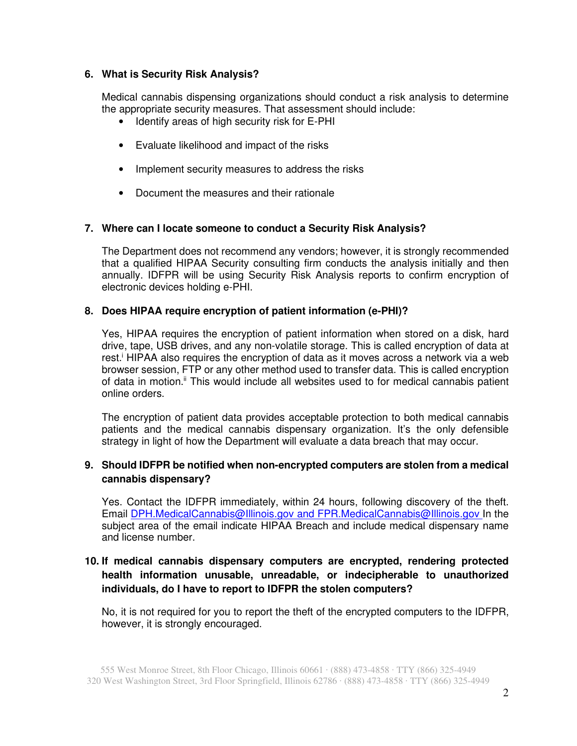#### **6. What is Security Risk Analysis?**

Medical cannabis dispensing organizations should conduct a risk analysis to determine the appropriate security measures. That assessment should include:

- Identify areas of high security risk for E-PHI
- Evaluate likelihood and impact of the risks
- Implement security measures to address the risks
- Document the measures and their rationale

#### **7. Where can I locate someone to conduct a Security Risk Analysis?**

The Department does not recommend any vendors; however, it is strongly recommended that a qualified HIPAA Security consulting firm conducts the analysis initially and then annually. IDFPR will be using Security Risk Analysis reports to confirm encryption of electronic devices holding e-PHI.

#### **8. Does HIPAA require encryption of patient information (e-PHI)?**

Yes, HIPAA requires the encryption of patient information when stored on a disk, hard drive, tape, USB drives, and any non-volatile storage. This is called encryption of data at rest.<sup>i</sup> HIPAA also requires the encryption of data as it moves across a network via a web browser session, FTP or any other method used to transfer data. This is called encryption of data in motion.<sup>ii</sup> This would include all websites used to for medical cannabis patient online orders.

The encryption of patient data provides acceptable protection to both medical cannabis patients and the medical cannabis dispensary organization. It's the only defensible strategy in light of how the Department will evaluate a data breach that may occur.

#### **9. Should IDFPR be notified when non-encrypted computers are stolen from a medical cannabis dispensary?**

Yes. Contact the IDFPR immediately, within 24 hours, following discovery of the theft. Email DPH.MedicalCannabis@Illinois.gov and FPR.MedicalCannabis@Illinois.gov In the subiect area of the email indicate HIPAA Breach and include medical dispensary name and license number.

### **10. If medical cannabis dispensary computers are encrypted, rendering protected health information unusable, unreadable, or indecipherable to unauthorized individuals, do I have to report to IDFPR the stolen computers?**

No, it is not required for you to report the theft of the encrypted computers to the IDFPR, however, it is strongly encouraged.